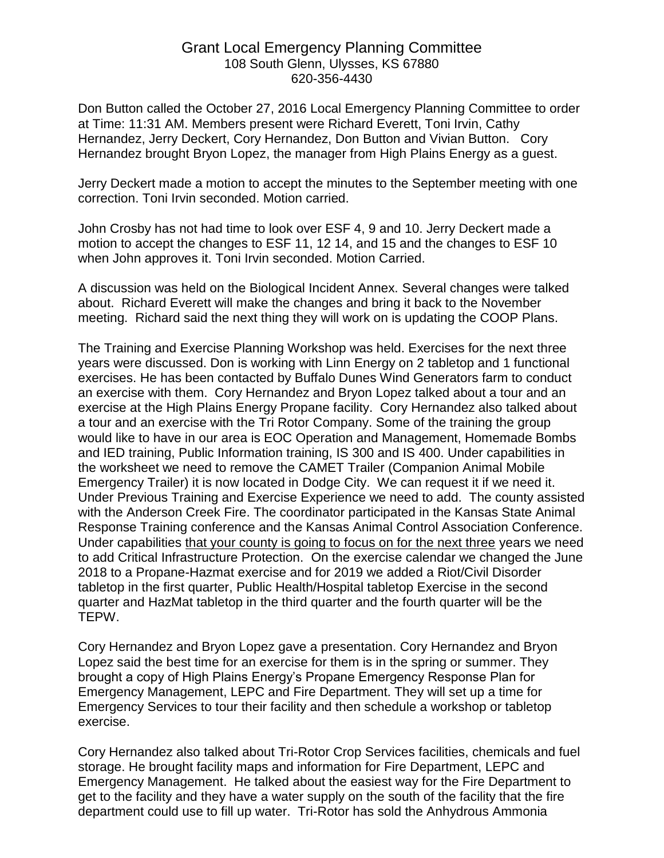## Grant Local Emergency Planning Committee 108 South Glenn, Ulysses, KS 67880 620-356-4430

Don Button called the October 27, 2016 Local Emergency Planning Committee to order at Time: 11:31 AM. Members present were Richard Everett, Toni Irvin, Cathy Hernandez, Jerry Deckert, Cory Hernandez, Don Button and Vivian Button. Cory Hernandez brought Bryon Lopez, the manager from High Plains Energy as a guest.

Jerry Deckert made a motion to accept the minutes to the September meeting with one correction. Toni Irvin seconded. Motion carried.

John Crosby has not had time to look over ESF 4, 9 and 10. Jerry Deckert made a motion to accept the changes to ESF 11, 12 14, and 15 and the changes to ESF 10 when John approves it. Toni Irvin seconded. Motion Carried.

A discussion was held on the Biological Incident Annex. Several changes were talked about. Richard Everett will make the changes and bring it back to the November meeting. Richard said the next thing they will work on is updating the COOP Plans.

The Training and Exercise Planning Workshop was held. Exercises for the next three years were discussed. Don is working with Linn Energy on 2 tabletop and 1 functional exercises. He has been contacted by Buffalo Dunes Wind Generators farm to conduct an exercise with them. Cory Hernandez and Bryon Lopez talked about a tour and an exercise at the High Plains Energy Propane facility. Cory Hernandez also talked about a tour and an exercise with the Tri Rotor Company. Some of the training the group would like to have in our area is EOC Operation and Management, Homemade Bombs and IED training, Public Information training, IS 300 and IS 400. Under capabilities in the worksheet we need to remove the CAMET Trailer (Companion Animal Mobile Emergency Trailer) it is now located in Dodge City. We can request it if we need it. Under Previous Training and Exercise Experience we need to add. The county assisted with the Anderson Creek Fire. The coordinator participated in the Kansas State Animal Response Training conference and the Kansas Animal Control Association Conference. Under capabilities that your county is going to focus on for the next three years we need to add Critical Infrastructure Protection. On the exercise calendar we changed the June 2018 to a Propane-Hazmat exercise and for 2019 we added a Riot/Civil Disorder tabletop in the first quarter, Public Health/Hospital tabletop Exercise in the second quarter and HazMat tabletop in the third quarter and the fourth quarter will be the TEPW.

Cory Hernandez and Bryon Lopez gave a presentation. Cory Hernandez and Bryon Lopez said the best time for an exercise for them is in the spring or summer. They brought a copy of High Plains Energy's Propane Emergency Response Plan for Emergency Management, LEPC and Fire Department. They will set up a time for Emergency Services to tour their facility and then schedule a workshop or tabletop exercise.

Cory Hernandez also talked about Tri-Rotor Crop Services facilities, chemicals and fuel storage. He brought facility maps and information for Fire Department, LEPC and Emergency Management. He talked about the easiest way for the Fire Department to get to the facility and they have a water supply on the south of the facility that the fire department could use to fill up water. Tri-Rotor has sold the Anhydrous Ammonia